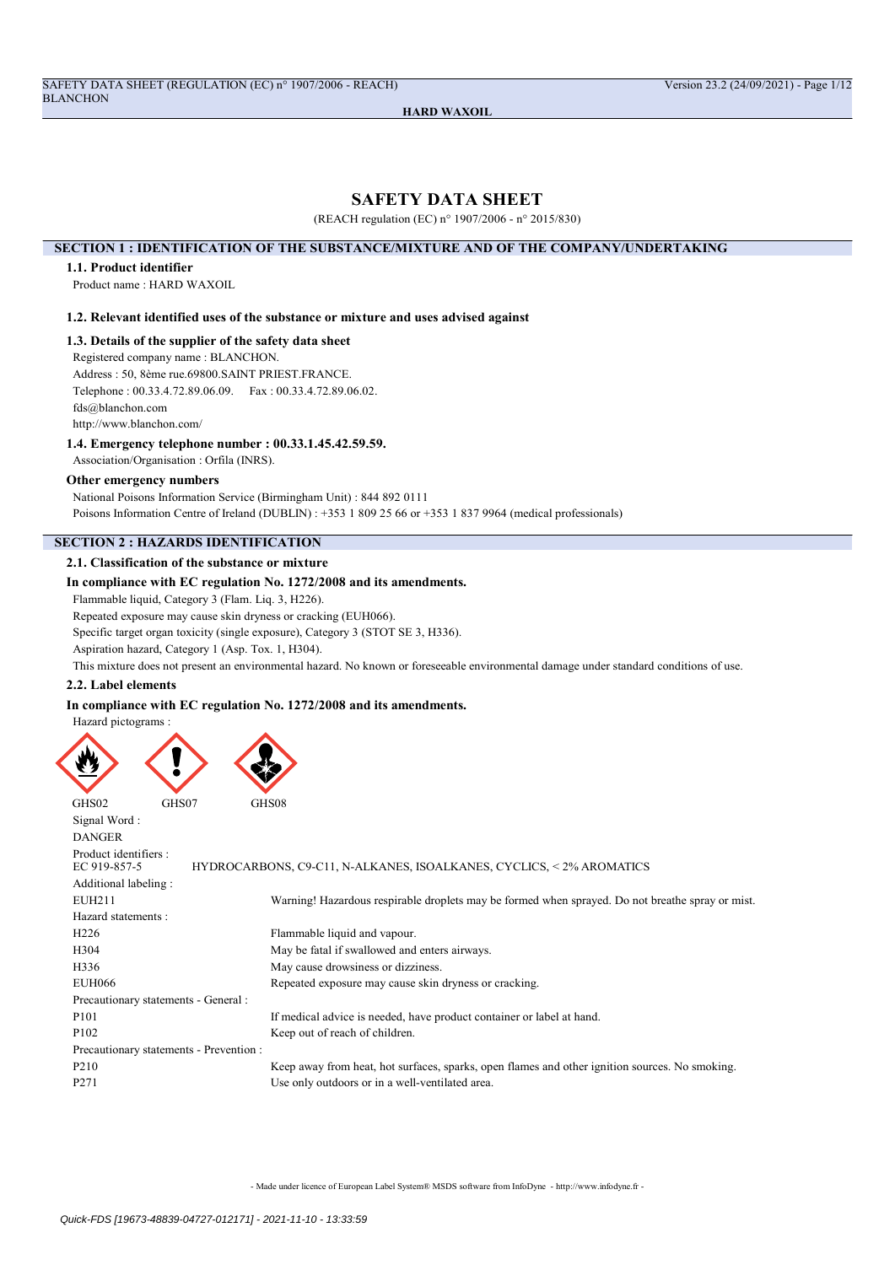# SAFETY DATA SHEET

(REACH regulation (EC) n° 1907/2006 - n° 2015/830)

## SECTION 1 : IDENTIFICATION OF THE SUBSTANCE/MIXTURE AND OF THE COMPANY/UNDERTAKING

## 1.1. Product identifier

Product name : HARD WAXOIL

## 1.2. Relevant identified uses of the substance or mixture and uses advised against

1.3. Details of the supplier of the safety data sheet

Registered company name : BLANCHON.

Address : 50, 8ème rue.69800.SAINT PRIEST.FRANCE.

Telephone : 00.33.4.72.89.06.09. Fax : 00.33.4.72.89.06.02.

fds@blanchon.com

http://www.blanchon.com/

## 1.4. Emergency telephone number : 00.33.1.45.42.59.59.

Association/Organisation : Orfila (INRS).

#### Other emergency numbers

National Poisons Information Service (Birmingham Unit) : 844 892 0111 Poisons Information Centre of Ireland (DUBLIN) : +353 1 809 25 66 or +353 1 837 9964 (medical professionals)

## SECTION 2 : HAZARDS IDENTIFICATION

## 2.1. Classification of the substance or mixture

## In compliance with EC regulation No. 1272/2008 and its amendments.

Flammable liquid, Category 3 (Flam. Liq. 3, H226).

Repeated exposure may cause skin dryness or cracking (EUH066).

Specific target organ toxicity (single exposure), Category 3 (STOT SE 3, H336).

Aspiration hazard, Category 1 (Asp. Tox. 1, H304).

This mixture does not present an environmental hazard. No known or foreseeable environmental damage under standard conditions of use.

#### 2.2. Label elements

## In compliance with EC regulation No. 1272/2008 and its amendments.

Hazard pictograms :



| Signal Word:                            |                                                                                                  |
|-----------------------------------------|--------------------------------------------------------------------------------------------------|
| <b>DANGER</b>                           |                                                                                                  |
| Product identifiers :                   |                                                                                                  |
| EC 919-857-5                            | HYDROCARBONS, C9-C11, N-ALKANES, ISOALKANES, CYCLICS, <2% AROMATICS                              |
| Additional labeling:                    |                                                                                                  |
| EUH211                                  | Warning! Hazardous respirable droplets may be formed when sprayed. Do not breathe spray or mist. |
| Hazard statements:                      |                                                                                                  |
| H <sub>226</sub>                        | Flammable liquid and vapour.                                                                     |
| H <sub>304</sub>                        | May be fatal if swallowed and enters airways.                                                    |
| H336                                    | May cause drowsiness or dizziness.                                                               |
| <b>EUH066</b>                           | Repeated exposure may cause skin dryness or cracking.                                            |
| Precautionary statements - General :    |                                                                                                  |
| P <sub>101</sub>                        | If medical advice is needed, have product container or label at hand.                            |
| P <sub>102</sub>                        | Keep out of reach of children.                                                                   |
| Precautionary statements - Prevention : |                                                                                                  |
| P <sub>210</sub>                        | Keep away from heat, hot surfaces, sparks, open flames and other ignition sources. No smoking.   |
| P <sub>271</sub>                        | Use only outdoors or in a well-ventilated area.                                                  |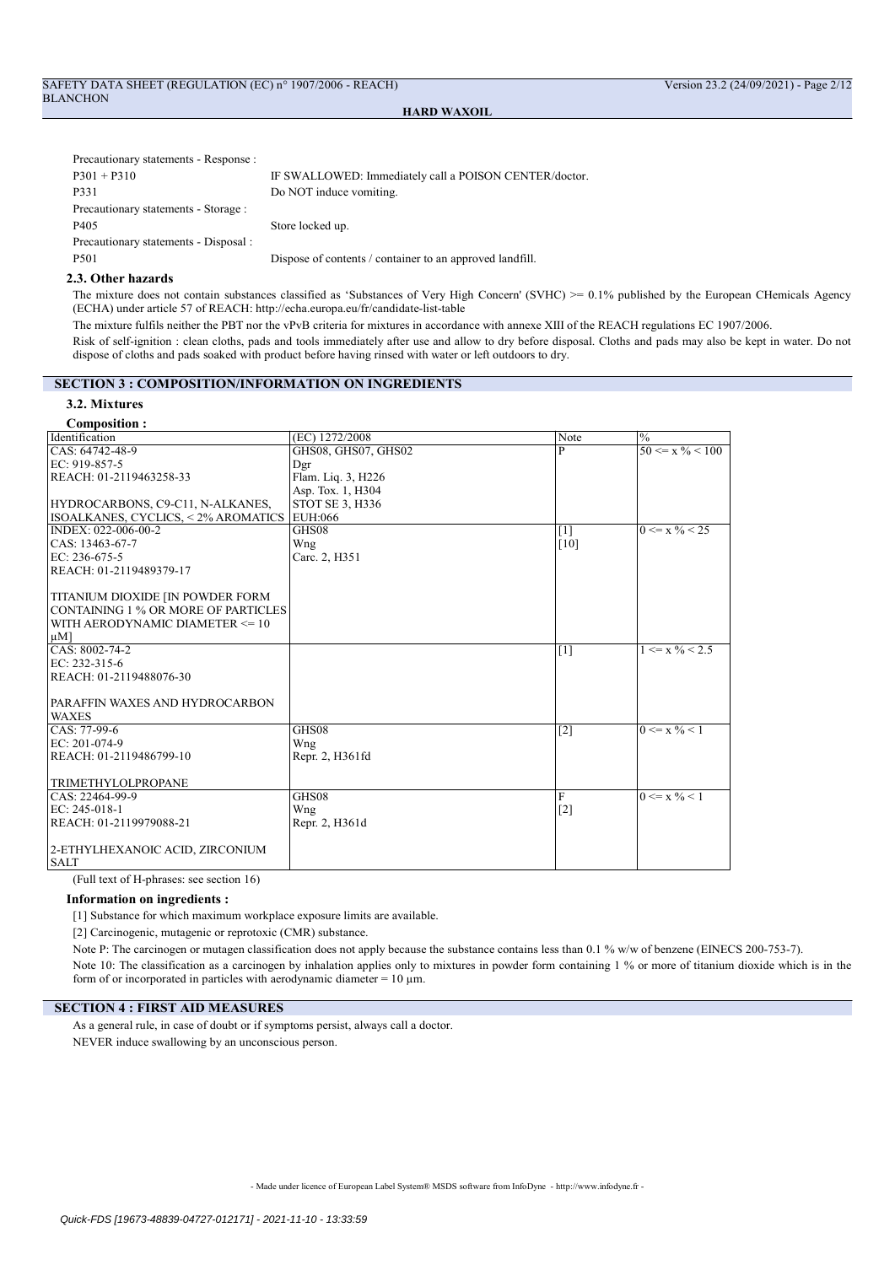| Precautionary statements - Response : |                                                          |
|---------------------------------------|----------------------------------------------------------|
| $P301 + P310$                         | IF SWALLOWED: Immediately call a POISON CENTER/doctor.   |
| P331                                  | Do NOT induce vomiting.                                  |
| Precautionary statements - Storage :  |                                                          |
| P405                                  | Store locked up.                                         |
| Precautionary statements - Disposal : |                                                          |
| P501                                  | Dispose of contents / container to an approved landfill. |

## 2.3. Other hazards

The mixture does not contain substances classified as 'Substances of Very High Concern' (SVHC) >= 0.1% published by the European CHemicals Agency (ECHA) under article 57 of REACH: http://echa.europa.eu/fr/candidate-list-table

The mixture fulfils neither the PBT nor the vPvB criteria for mixtures in accordance with annexe XIII of the REACH regulations EC 1907/2006.

Risk of self-ignition : clean cloths, pads and tools immediately after use and allow to dry before disposal. Cloths and pads may also be kept in water. Do not dispose of cloths and pads soaked with product before having rinsed with water or left outdoors to dry.

## SECTION 3 : COMPOSITION/INFORMATION ON INGREDIENTS

## 3.2. Mixtures

| (EC) 1272/2008      | Note                    | $\%$                           |
|---------------------|-------------------------|--------------------------------|
| GHS08, GHS07, GHS02 | $\overline{\mathsf{P}}$ | $50 \le x \frac{9}{6} \le 100$ |
| Dgr                 |                         |                                |
| Flam. Liq. 3, H226  |                         |                                |
| Asp. Tox. 1, H304   |                         |                                |
| STOT SE 3, H336     |                         |                                |
| EUH:066             |                         |                                |
| GHS08               |                         | $0 \le x \frac{9}{6} < 25$     |
| Wng                 | [10]                    |                                |
| Carc. 2, H351       |                         |                                |
|                     |                         |                                |
|                     |                         |                                |
|                     |                         |                                |
|                     |                         |                                |
|                     |                         |                                |
|                     |                         |                                |
|                     | $[1]$                   | $1 \le x \frac{9}{6} < 2.5$    |
|                     |                         |                                |
|                     |                         |                                |
|                     |                         |                                |
|                     |                         |                                |
|                     |                         |                                |
| GHS08               | $[2]$                   | $0 \le x \sqrt{0} \le 1$       |
| Wng                 |                         |                                |
| Repr. 2, H361fd     |                         |                                |
|                     |                         |                                |
|                     |                         |                                |
|                     | $\mathbf{F}$            | $0 \le x \frac{9}{6} < 1$      |
| Wng                 |                         |                                |
| Repr. 2, H361d      |                         |                                |
|                     |                         |                                |
|                     |                         |                                |
|                     |                         |                                |
|                     | GHS08                   | $[1]$<br>$[2]$                 |

(Full text of H-phrases: see section 16)

## Information on ingredients :

[1] Substance for which maximum workplace exposure limits are available.

[2] Carcinogenic, mutagenic or reprotoxic (CMR) substance.

Note P: The carcinogen or mutagen classification does not apply because the substance contains less than 0.1 % w/w of benzene (EINECS 200-753-7). Note 10: The classification as a carcinogen by inhalation applies only to mixtures in powder form containing 1 % or more of titanium dioxide which is in the form of or incorporated in particles with aerodynamic diameter =  $10 \mu m$ .

### SECTION 4 : FIRST AID MEASURES

As a general rule, in case of doubt or if symptoms persist, always call a doctor. NEVER induce swallowing by an unconscious person.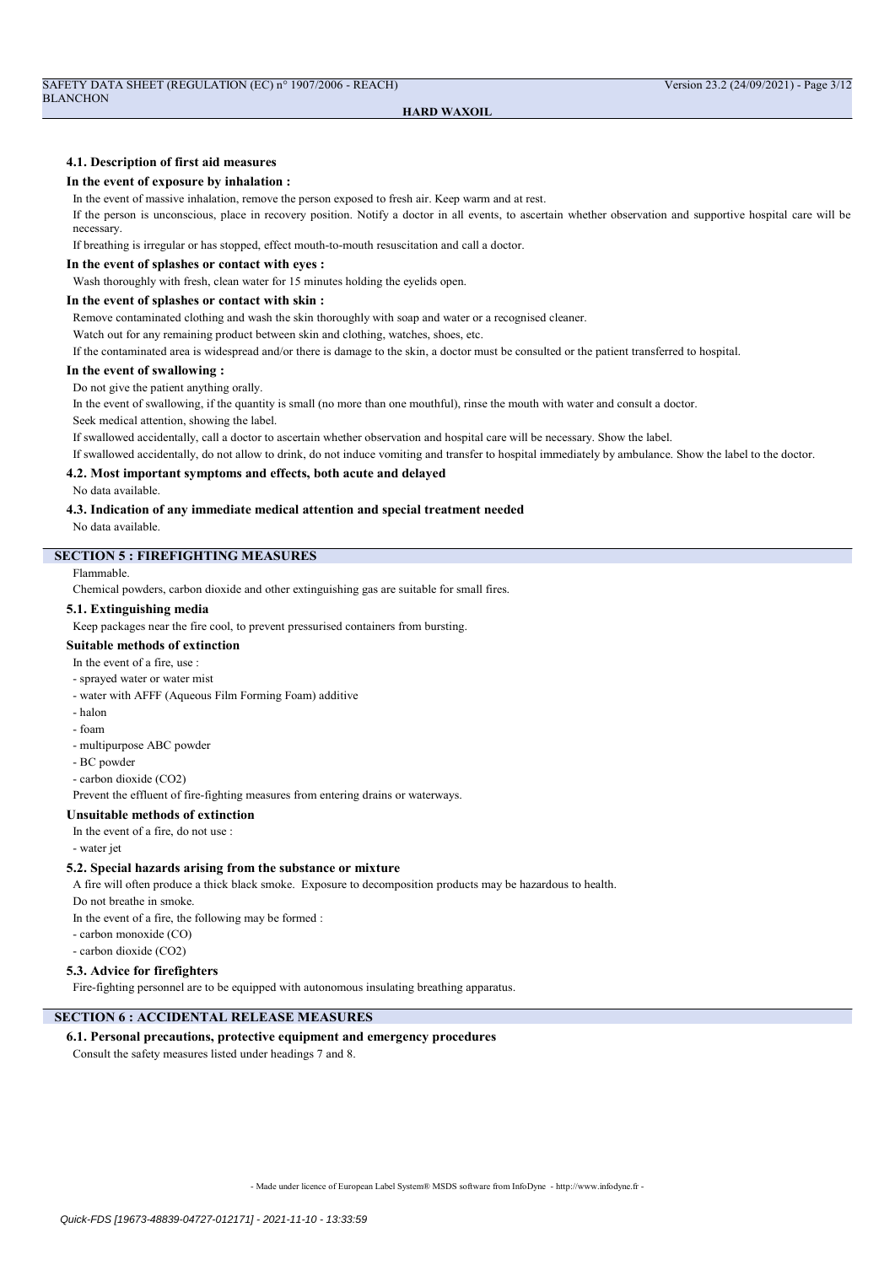## 4.1. Description of first aid measures

#### In the event of exposure by inhalation :

In the event of massive inhalation, remove the person exposed to fresh air. Keep warm and at rest.

If the person is unconscious, place in recovery position. Notify a doctor in all events, to ascertain whether observation and supportive hospital care will be necessary.

If breathing is irregular or has stopped, effect mouth-to-mouth resuscitation and call a doctor.

#### In the event of splashes or contact with eyes :

Wash thoroughly with fresh, clean water for 15 minutes holding the eyelids open.

## In the event of splashes or contact with skin :

Remove contaminated clothing and wash the skin thoroughly with soap and water or a recognised cleaner.

Watch out for any remaining product between skin and clothing, watches, shoes, etc.

If the contaminated area is widespread and/or there is damage to the skin, a doctor must be consulted or the patient transferred to hospital.

#### In the event of swallowing :

Do not give the patient anything orally.

In the event of swallowing, if the quantity is small (no more than one mouthful), rinse the mouth with water and consult a doctor.

Seek medical attention, showing the label.

If swallowed accidentally, call a doctor to ascertain whether observation and hospital care will be necessary. Show the label.

If swallowed accidentally, do not allow to drink, do not induce vomiting and transfer to hospital immediately by ambulance. Show the label to the doctor.

## 4.2. Most important symptoms and effects, both acute and delayed

No data available.

#### 4.3. Indication of any immediate medical attention and special treatment needed

No data available.

## SECTION 5 : FIREFIGHTING MEASURES

Flammable.

Chemical powders, carbon dioxide and other extinguishing gas are suitable for small fires.

#### 5.1. Extinguishing media

Keep packages near the fire cool, to prevent pressurised containers from bursting.

## Suitable methods of extinction

In the event of a fire, use :

- sprayed water or water mist
- water with AFFF (Aqueous Film Forming Foam) additive
- halon
- foam
- multipurpose ABC powder
- BC powder
- carbon dioxide (CO2)

Prevent the effluent of fire-fighting measures from entering drains or waterways.

## Unsuitable methods of extinction

In the event of a fire, do not use :

- water jet

## 5.2. Special hazards arising from the substance or mixture

A fire will often produce a thick black smoke. Exposure to decomposition products may be hazardous to health.

Do not breathe in smoke.

In the event of a fire, the following may be formed :

- carbon monoxide (CO)
- carbon dioxide (CO2)

## 5.3. Advice for firefighters

Fire-fighting personnel are to be equipped with autonomous insulating breathing apparatus.

# SECTION 6 : ACCIDENTAL RELEASE MEASURES

## 6.1. Personal precautions, protective equipment and emergency procedures

Consult the safety measures listed under headings 7 and 8.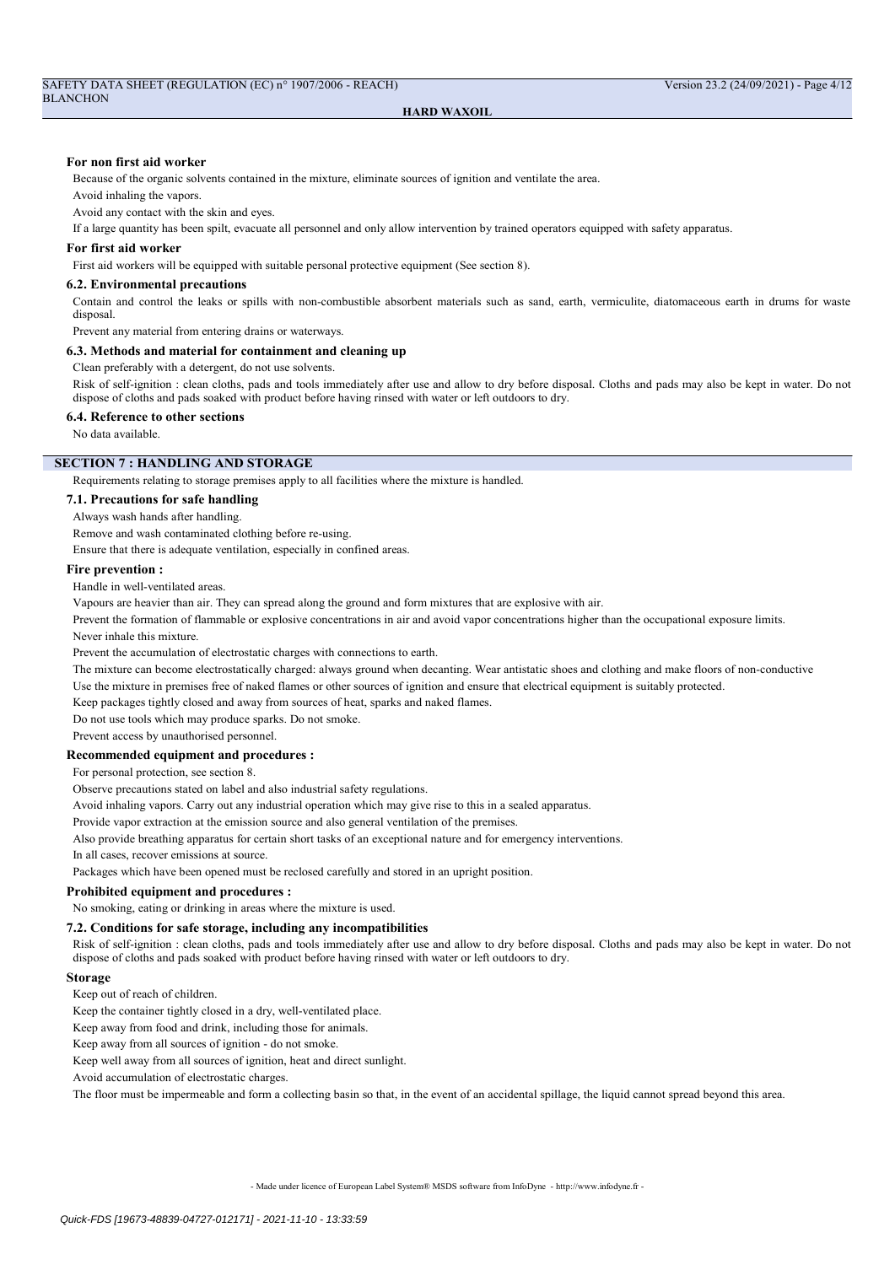#### For non first aid worker

Because of the organic solvents contained in the mixture, eliminate sources of ignition and ventilate the area.

Avoid inhaling the vapors.

Avoid any contact with the skin and eyes.

If a large quantity has been spilt, evacuate all personnel and only allow intervention by trained operators equipped with safety apparatus.

#### For first aid worker

First aid workers will be equipped with suitable personal protective equipment (See section 8).

#### 6.2. Environmental precautions

Contain and control the leaks or spills with non-combustible absorbent materials such as sand, earth, vermiculite, diatomaceous earth in drums for waste disposal.

Prevent any material from entering drains or waterways.

## 6.3. Methods and material for containment and cleaning up

Clean preferably with a detergent, do not use solvents.

Risk of self-ignition : clean cloths, pads and tools immediately after use and allow to dry before disposal. Cloths and pads may also be kept in water. Do not dispose of cloths and pads soaked with product before having rinsed with water or left outdoors to dry.

#### 6.4. Reference to other sections

No data available.

#### SECTION 7 : HANDLING AND STORAGE

Requirements relating to storage premises apply to all facilities where the mixture is handled.

## 7.1. Precautions for safe handling

Always wash hands after handling.

Remove and wash contaminated clothing before re-using.

Ensure that there is adequate ventilation, especially in confined areas.

#### Fire prevention :

Handle in well-ventilated areas.

Vapours are heavier than air. They can spread along the ground and form mixtures that are explosive with air.

Prevent the formation of flammable or explosive concentrations in air and avoid vapor concentrations higher than the occupational exposure limits.

Never inhale this mixture.

Prevent the accumulation of electrostatic charges with connections to earth.

The mixture can become electrostatically charged: always ground when decanting. Wear antistatic shoes and clothing and make floors of non-conductive Use the mixture in premises free of naked flames or other sources of ignition and ensure that electrical equipment is suitably protected.

Keep packages tightly closed and away from sources of heat, sparks and naked flames.

Do not use tools which may produce sparks. Do not smoke.

Prevent access by unauthorised personnel.

## Recommended equipment and procedures :

For personal protection, see section 8.

Observe precautions stated on label and also industrial safety regulations.

Avoid inhaling vapors. Carry out any industrial operation which may give rise to this in a sealed apparatus.

Provide vapor extraction at the emission source and also general ventilation of the premises.

Also provide breathing apparatus for certain short tasks of an exceptional nature and for emergency interventions.

In all cases, recover emissions at source.

Packages which have been opened must be reclosed carefully and stored in an upright position.

#### Prohibited equipment and procedures :

No smoking, eating or drinking in areas where the mixture is used.

## 7.2. Conditions for safe storage, including any incompatibilities

Risk of self-ignition : clean cloths, pads and tools immediately after use and allow to dry before disposal. Cloths and pads may also be kept in water. Do not dispose of cloths and pads soaked with product before having rinsed with water or left outdoors to dry.

#### Storage

Keep out of reach of children.

Keep the container tightly closed in a dry, well-ventilated place.

Keep away from food and drink, including those for animals.

Keep away from all sources of ignition - do not smoke.

Keep well away from all sources of ignition, heat and direct sunlight.

Avoid accumulation of electrostatic charges.

The floor must be impermeable and form a collecting basin so that, in the event of an accidental spillage, the liquid cannot spread beyond this area.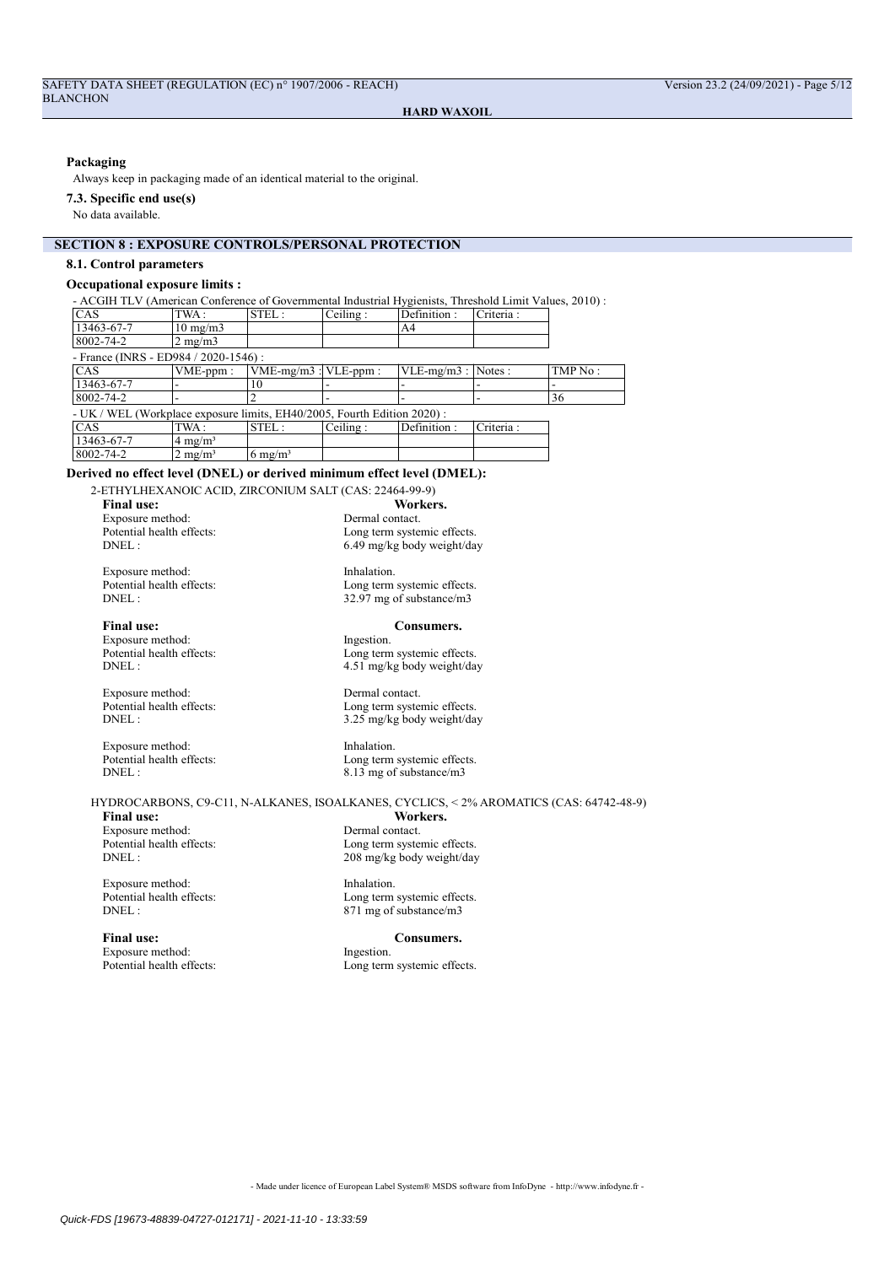## Packaging

Always keep in packaging made of an identical material to the original.

#### 7.3. Specific end use(s)

No data available.

## SECTION 8 : EXPOSURE CONTROLS/PERSONAL PROTECTION

#### 8.1. Control parameters

## Occupational exposure limits :

- ACGIH TLV (American Conference of Governmental Industrial Hygienists, Threshold Limit Values, 2010) : CAS TWA : STEL : Ceiling : Definition : Criteria :<br>13463-67-7 10 ms/m3  $\begin{array}{|c|c|c|c|}\n\hline\n 10 mg/m3 & & \text{A4} \\
\hline\n 2 mg/m3 & & \hline\n\end{array}$  $8002 - 74 - 2$ - France (INRS - ED984 / 2020-1546)<br>CAS VME-ppm : VI VME-mg/m3 : VLE-ppm : VLE-mg/m3 : Notes : TMP No  $13463-67-7$  - 10 8002-74-2 |- |2 |- |- |- |36 - UK / WEL (Workplace exposure limits, EH40/2005, Fourth Edition 2020) : CAS TWA: STEL: Ceiling : Definition : Criteria :  $13463-67-7$  4 mg/m<sup>3</sup>  $8002-74-2$  2 mg/m<sup>3</sup> 6 mg/m<sup>3</sup>

#### Derived no effect level (DNEL) or derived minimum effect level (DMEL):

2-ETHYLHEXANOIC ACID, ZIRCONIUM SALT (CAS: 22464-99-9) Final use: Workers.<br>Exposure method: The Manuscription of the Dermal contact. Exposure method:<br>Potential health effects: Potential health effects:<br>
DNEL:<br>  $6.49 \text{ m}$ /kg body weight/da

Exposure method: Inhalation.<br>
Potential health effects: Long term Potential health effects:<br>
DNEL:<br>  $32.97 \text{ mg of substance/m3}$ 

Final use: Consumers.<br>Exposure method: Figure 1 and the state of the state of the state of the state of the state of the state of the state of the state of the state of the state of the state of the state of the state of t Exposure method:<br>Potential health effects: Potential health effects:<br>
DNEL:<br>  $2.51 \text{ mg/kg body weight/da}$ 

Exposure method: Dermal contact.<br>
Potential health effects: I ong term system Potential health effects:<br>
DNEL:<br>  $3.25 \text{ m}$ /kg hody weight/day

Exposure method: Inhalation.<br>
Potential health effects: In a Long term Potential health effects:<br>
DNEL:<br>  $8.13 \text{ me of substance/m3}$ 

HYDROCARBONS, C9-C11, N-ALKANES, ISOALKANES, CYCLICS, < 2% AROMATICS (CAS: 64742-48-9)

Exposure method: Dermal contact.<br>
Potential health effects: <br>
Long term systemic effects. Potential health effects:<br>DNEL:

Exposure method: Inhalation.<br>
Potential health effects: Long term

Final use: Consumers.<br>Exposure method: Figestion. The United Section of the United Section of the United Section of the United Section of the United Section of the United Section of the United Section of the United Section Exposure method:<br>Potential health effects:

Final use: Workers.<br>Exposure method: The Manuscription of the Dermal contact.

6.49 mg/kg body weight/day

32.97 mg of substance/m3

4.51 mg/kg body weight/day

3.25 mg/kg body weight/day

 $8.13$  mg of substance/m3

208 mg/kg body weight/day

Potential health effects:<br>
DNEL:<br>  $871 \text{ mg of substance/m3}$ 871 mg of substance/m3

Long term systemic effects.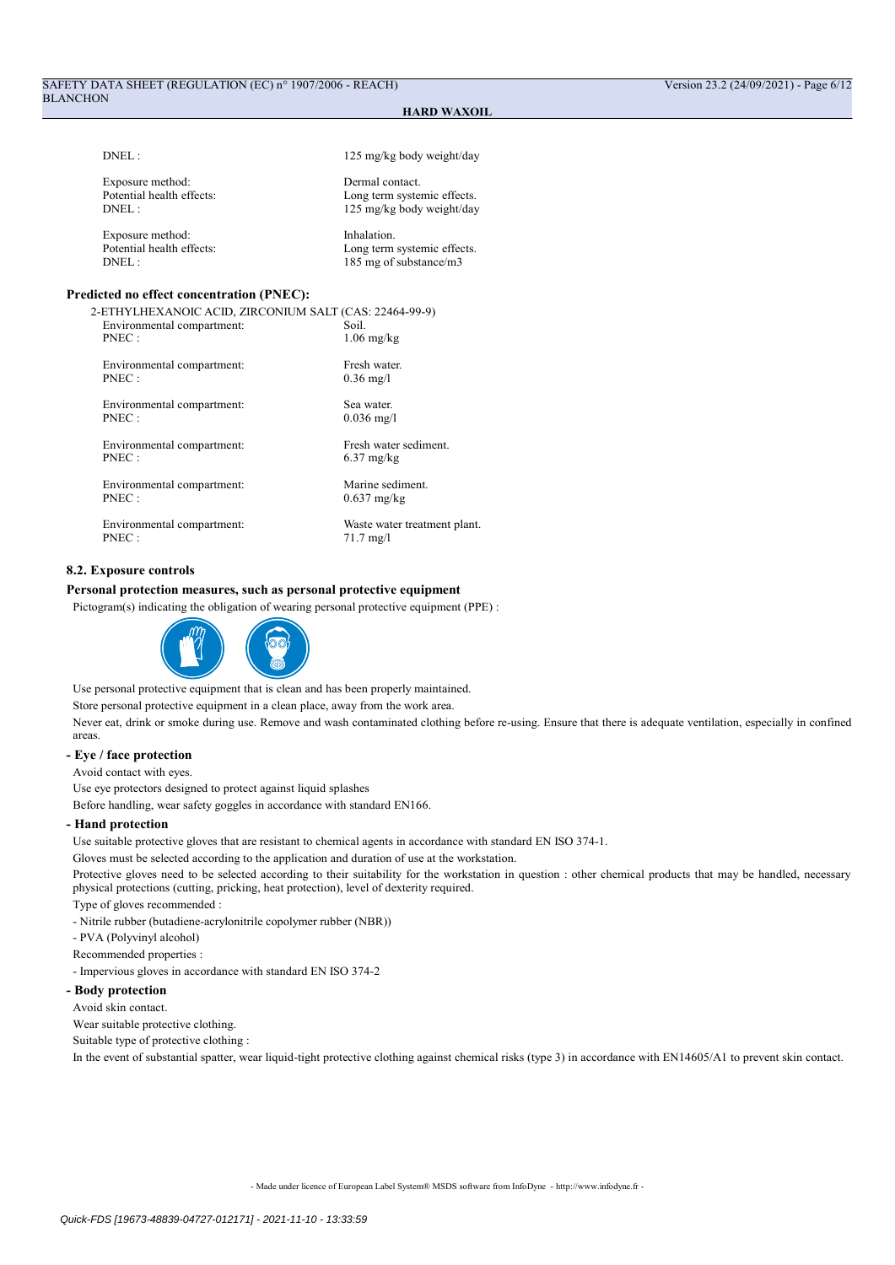## SAFETY DATA SHEET (REGULATION (EC) n° 1907/2006 - REACH) Version 23.2 (24/09/2021) - Page 6/12 BLANCHON

## HARD WAXOIL

| $DNEL$ :                                                                                                                                          | 125 mg/kg body weight/day                                                   |
|---------------------------------------------------------------------------------------------------------------------------------------------------|-----------------------------------------------------------------------------|
| Exposure method:<br>Potential health effects:<br>$DNEL$ :                                                                                         | Dermal contact.<br>Long term systemic effects.<br>125 mg/kg body weight/day |
| Exposure method:<br>Potential health effects:<br>$DNEL$ :                                                                                         | Inhalation.<br>Long term systemic effects.<br>185 mg of substance/m3        |
| <b>Predicted no effect concentration (PNEC):</b><br>2-ETHYLHEXANOIC ACID, ZIRCONIUM SALT (CAS: 22464-99-9)<br>Environmental compartment:<br>PNEC: | Soil.<br>$1.06$ mg/kg                                                       |
| Environmental compartment:<br>PNEC:                                                                                                               | Fresh water.<br>$0.36 \text{ mg}/1$                                         |
| Environmental compartment:<br>PNEC:                                                                                                               | Sea water.<br>$0.036$ mg/l                                                  |
| Environmental compartment:<br>PNEC:                                                                                                               | Fresh water sediment.<br>$6.37$ mg/kg                                       |
| Environmental compartment:<br>PNEC:                                                                                                               | Marine sediment.<br>$0.637$ mg/kg                                           |
| Environmental compartment:<br>PNEC:                                                                                                               | Waste water treatment plant.<br>$71.7 \text{ mg}/1$                         |
|                                                                                                                                                   |                                                                             |

## 8.2. Exposure controls

## Personal protection measures, such as personal protective equipment

Pictogram(s) indicating the obligation of wearing personal protective equipment (PPE) :



Use personal protective equipment that is clean and has been properly maintained.

Store personal protective equipment in a clean place, away from the work area.

Never eat, drink or smoke during use. Remove and wash contaminated clothing before re-using. Ensure that there is adequate ventilation, especially in confined areas.

#### - Eye / face protection

Avoid contact with eyes.

Use eye protectors designed to protect against liquid splashes

Before handling, wear safety goggles in accordance with standard EN166.

#### - Hand protection

Use suitable protective gloves that are resistant to chemical agents in accordance with standard EN ISO 374-1.

Gloves must be selected according to the application and duration of use at the workstation.

Protective gloves need to be selected according to their suitability for the workstation in question : other chemical products that may be handled, necessary physical protections (cutting, pricking, heat protection), level of dexterity required.

Type of gloves recommended :

- Nitrile rubber (butadiene-acrylonitrile copolymer rubber (NBR))

- PVA (Polyvinyl alcohol)
- Recommended properties :

- Impervious gloves in accordance with standard EN ISO 374-2

## - Body protection

Avoid skin contact.

Wear suitable protective clothing.

Suitable type of protective clothing :

In the event of substantial spatter, wear liquid-tight protective clothing against chemical risks (type 3) in accordance with EN14605/A1 to prevent skin contact.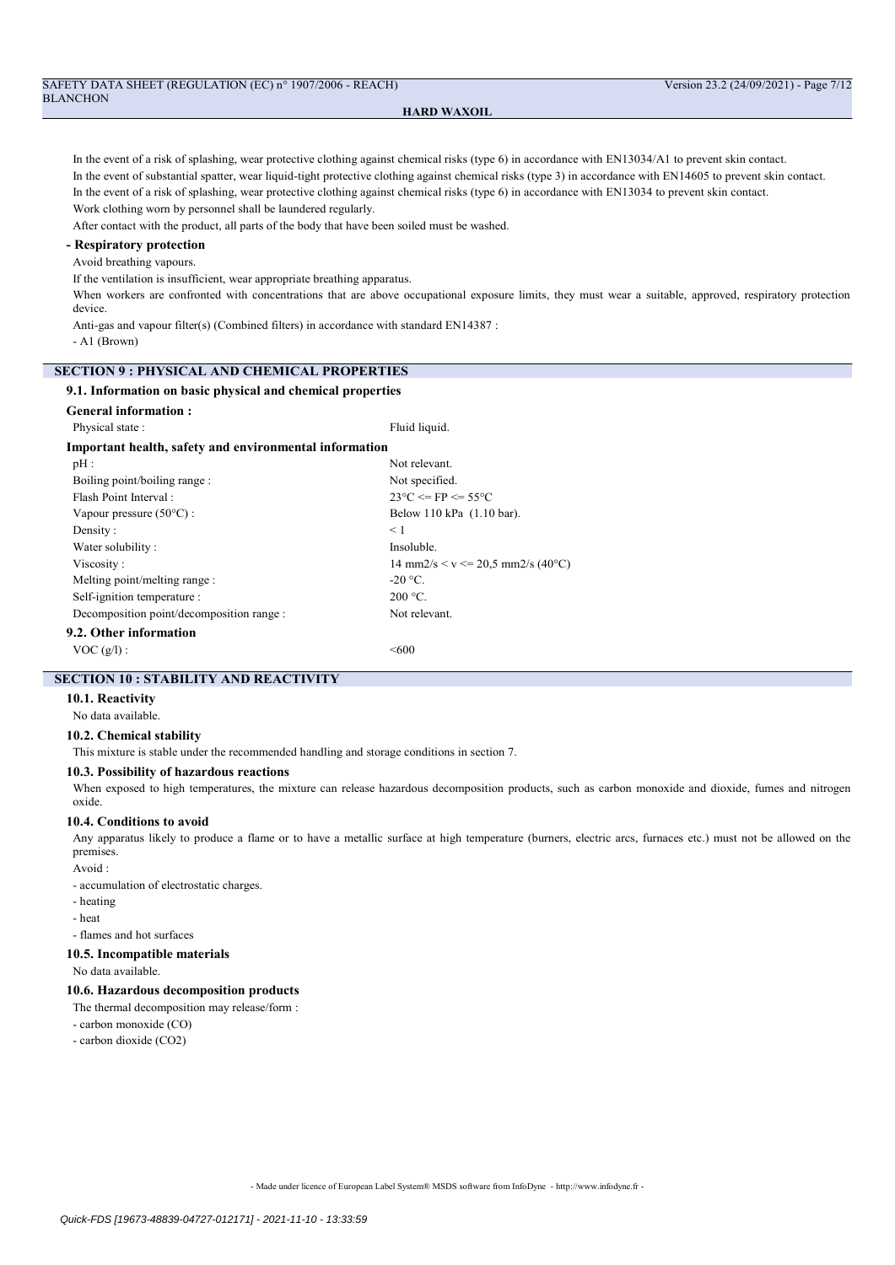| SAFETY DATA SHEET (REGULATION (EC) n° 1907/2006 - REACH) |  |
|----------------------------------------------------------|--|
| <b>BLANCHON</b>                                          |  |

In the event of a risk of splashing, wear protective clothing against chemical risks (type 6) in accordance with EN13034/A1 to prevent skin contact. In the event of substantial spatter, wear liquid-tight protective clothing against chemical risks (type 3) in accordance with EN14605 to prevent skin contact. In the event of a risk of splashing, wear protective clothing against chemical risks (type 6) in accordance with EN13034 to prevent skin contact. Work clothing worn by personnel shall be laundered regularly.

After contact with the product, all parts of the body that have been soiled must be washed.

## - Respiratory protection

Avoid breathing vapours.

If the ventilation is insufficient, wear appropriate breathing apparatus.

When workers are confronted with concentrations that are above occupational exposure limits, they must wear a suitable, approved, respiratory protection device.

Anti-gas and vapour filter(s) (Combined filters) in accordance with standard EN14387 :

- A1 (Brown)

# SECTION 9 : PHYSICAL AND CHEMICAL PROPERTIES

## 9.1. Information on basic physical and chemical properties

| <b>General information:</b>                            |                                                                         |
|--------------------------------------------------------|-------------------------------------------------------------------------|
| Physical state:                                        | Fluid liquid.                                                           |
| Important health, safety and environmental information |                                                                         |
| pH:                                                    | Not relevant.                                                           |
| Boiling point/boiling range:                           | Not specified.                                                          |
| Flash Point Interval:                                  | $23^{\circ}$ C $\leq$ FP $\leq$ 55°C                                    |
| Vapour pressure $(50^{\circ}C)$ :                      | Below 110 kPa (1.10 bar).                                               |
| Density:                                               | $\leq 1$                                                                |
| Water solubility:                                      | Insoluble.                                                              |
| Viscosity:                                             | $14 \text{ mm}2\text{/s} \leq v \leq 20.5 \text{ mm}2\text{/s}$ (40 °C) |
| Melting point/melting range :                          | $-20$ °C.                                                               |
| Self-ignition temperature :                            | $200 °C$ .                                                              |
| Decomposition point/decomposition range :              | Not relevant.                                                           |
| 9.2. Other information                                 |                                                                         |
| $VOC(g/l)$ :                                           | < 600                                                                   |

## SECTION 10 : STABILITY AND REACTIVITY

# 10.1. Reactivity

No data available.

## 10.2. Chemical stability

This mixture is stable under the recommended handling and storage conditions in section 7.

## 10.3. Possibility of hazardous reactions

When exposed to high temperatures, the mixture can release hazardous decomposition products, such as carbon monoxide and dioxide, fumes and nitrogen oxide.

#### 10.4. Conditions to avoid

Any apparatus likely to produce a flame or to have a metallic surface at high temperature (burners, electric arcs, furnaces etc.) must not be allowed on the premises.

Avoid :

- accumulation of electrostatic charges.

- heating
- heat

- flames and hot surfaces

## 10.5. Incompatible materials

No data available.

## 10.6. Hazardous decomposition products

The thermal decomposition may release/form :

- carbon monoxide (CO)
- carbon dioxide (CO2)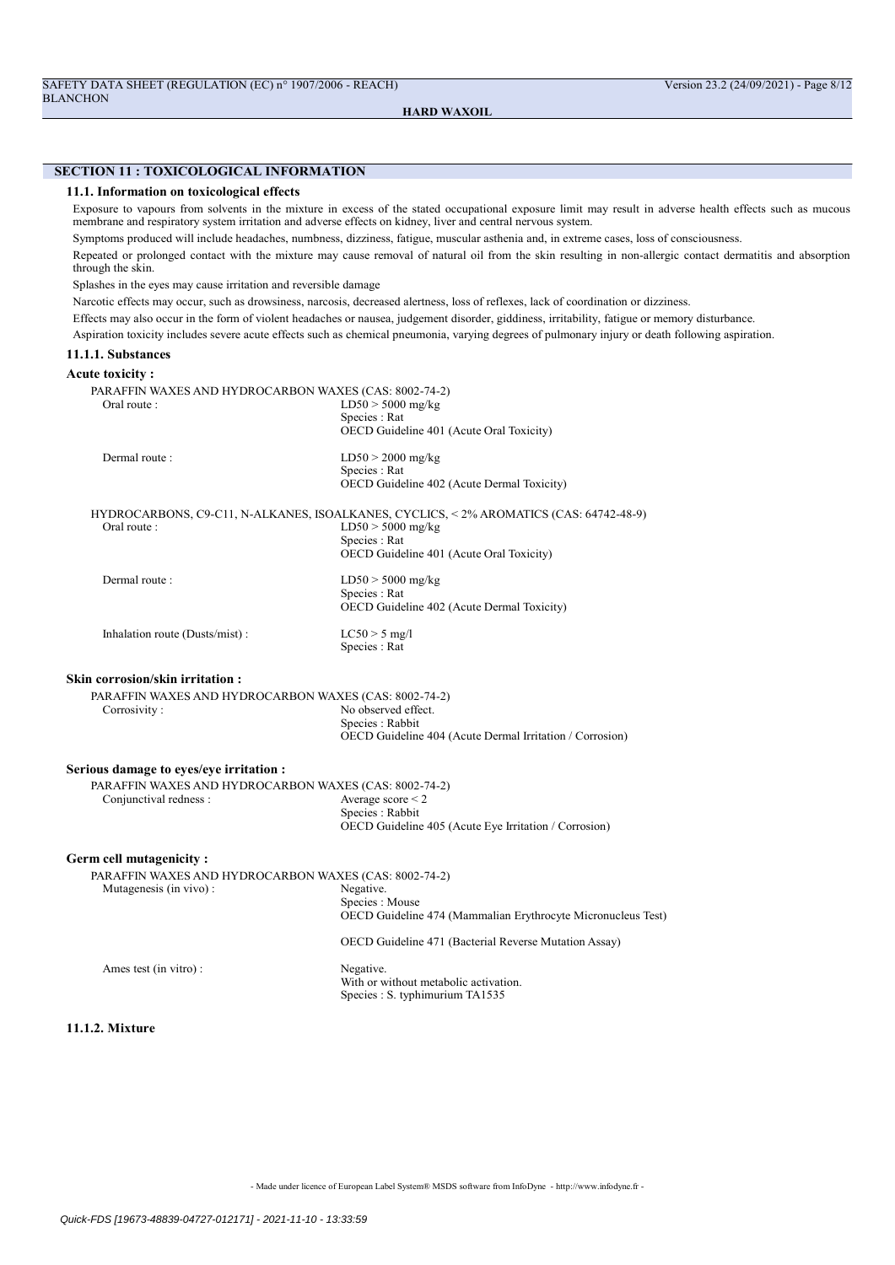## SECTION 11 : TOXICOLOGICAL INFORMATION

## 11.1. Information on toxicological effects

Exposure to vapours from solvents in the mixture in excess of the stated occupational exposure limit may result in adverse health effects such as mucous membrane and respiratory system irritation and adverse effects on kidney, liver and central nervous system.

Symptoms produced will include headaches, numbness, dizziness, fatigue, muscular asthenia and, in extreme cases, loss of consciousness.

Repeated or prolonged contact with the mixture may cause removal of natural oil from the skin resulting in non-allergic contact dermatitis and absorption through the skin.

Splashes in the eyes may cause irritation and reversible damage

Narcotic effects may occur, such as drowsiness, narcosis, decreased alertness, loss of reflexes, lack of coordination or dizziness.

Effects may also occur in the form of violent headaches or nausea, judgement disorder, giddiness, irritability, fatigue or memory disturbance.

Aspiration toxicity includes severe acute effects such as chemical pneumonia, varying degrees of pulmonary injury or death following aspiration.

## 11.1.1. Substances

## Acute toxicity :

| Aturt Warth ,                                                                   |                                                                                                                                                                            |
|---------------------------------------------------------------------------------|----------------------------------------------------------------------------------------------------------------------------------------------------------------------------|
| PARAFFIN WAXES AND HYDROCARBON WAXES (CAS: 8002-74-2)<br>Oral route:            | $LD50 > 5000$ mg/kg<br>Species : Rat<br>OECD Guideline 401 (Acute Oral Toxicity)                                                                                           |
| Dermal route:                                                                   | $LD50 > 2000$ mg/kg<br>Species : Rat<br>OECD Guideline 402 (Acute Dermal Toxicity)                                                                                         |
| Oral route:                                                                     | HYDROCARBONS, C9-C11, N-ALKANES, ISOALKANES, CYCLICS, < 2% AROMATICS (CAS: 64742-48-9)<br>$LD50 > 5000$ mg/kg<br>Species : Rat<br>OECD Guideline 401 (Acute Oral Toxicity) |
| Dermal route:                                                                   | $LD50 > 5000$ mg/kg<br>Species : Rat<br>OECD Guideline 402 (Acute Dermal Toxicity)                                                                                         |
| Inhalation route (Dusts/mist):                                                  | $LC50 > 5$ mg/l<br>Species : Rat                                                                                                                                           |
| <b>Skin corrosion/skin irritation:</b>                                          |                                                                                                                                                                            |
| PARAFFIN WAXES AND HYDROCARBON WAXES (CAS: 8002-74-2)<br>Corrosivity:           | No observed effect.<br>Species: Rabbit<br>OECD Guideline 404 (Acute Dermal Irritation / Corrosion)                                                                         |
| Serious damage to eyes/eye irritation :                                         |                                                                                                                                                                            |
| PARAFFIN WAXES AND HYDROCARBON WAXES (CAS: 8002-74-2)<br>Conjunctival redness : | Average score $\leq$ 2<br>Species : Rabbit<br>OECD Guideline 405 (Acute Eye Irritation / Corrosion)                                                                        |
| Germ cell mutagenicity:                                                         |                                                                                                                                                                            |
| PARAFFIN WAXES AND HYDROCARBON WAXES (CAS: 8002-74-2)<br>Mutagenesis (in vivo): | Negative.<br>Species: Mouse<br>OECD Guideline 474 (Mammalian Erythrocyte Micronucleus Test)                                                                                |
|                                                                                 | OECD Guideline 471 (Bacterial Reverse Mutation Assay)                                                                                                                      |
| Ames test (in vitro):                                                           | Negative.<br>With or without metabolic activation.<br>Species: S. typhimurium TA1535                                                                                       |
|                                                                                 |                                                                                                                                                                            |

# 11.1.2. Mixture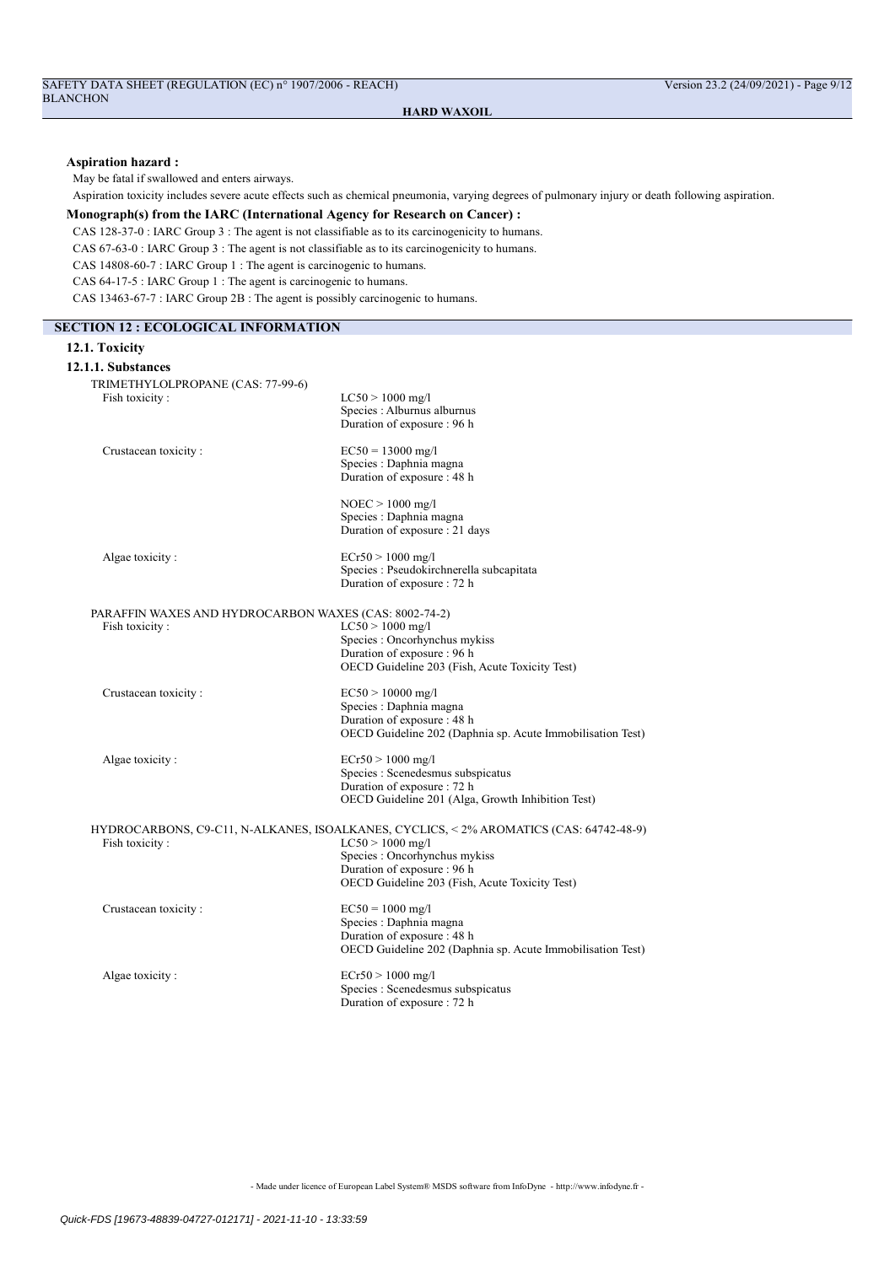## Aspiration hazard :

May be fatal if swallowed and enters airways.

Aspiration toxicity includes severe acute effects such as chemical pneumonia, varying degrees of pulmonary injury or death following aspiration.

## Monograph(s) from the IARC (International Agency for Research on Cancer) :

CAS 128-37-0 : IARC Group 3 : The agent is not classifiable as to its carcinogenicity to humans.

CAS 67-63-0 : IARC Group 3 : The agent is not classifiable as to its carcinogenicity to humans.

CAS 14808-60-7 : IARC Group 1 : The agent is carcinogenic to humans.

CAS 64-17-5 : IARC Group 1 : The agent is carcinogenic to humans.

CAS 13463-67-7 : IARC Group 2B : The agent is possibly carcinogenic to humans.

| <b>SECTION 12 : ECOLOGICAL INFORMATION</b>            |                                                                                                                                                                                                                               |
|-------------------------------------------------------|-------------------------------------------------------------------------------------------------------------------------------------------------------------------------------------------------------------------------------|
| 12.1. Toxicity                                        |                                                                                                                                                                                                                               |
| 12.1.1. Substances                                    |                                                                                                                                                                                                                               |
| TRIMETHYLOLPROPANE (CAS: 77-99-6)                     |                                                                                                                                                                                                                               |
| Fish toxicity:                                        | $LC50 > 1000$ mg/l<br>Species : Alburnus alburnus<br>Duration of exposure : 96 h                                                                                                                                              |
| Crustacean toxicity:                                  | $EC50 = 13000$ mg/l<br>Species : Daphnia magna<br>Duration of exposure : 48 h                                                                                                                                                 |
|                                                       | $NOEC > 1000$ mg/l<br>Species : Daphnia magna<br>Duration of exposure : 21 days                                                                                                                                               |
| Algae toxicity:                                       | $ECr50 > 1000$ mg/l<br>Species : Pseudokirchnerella subcapitata<br>Duration of exposure : 72 h                                                                                                                                |
| PARAFFIN WAXES AND HYDROCARBON WAXES (CAS: 8002-74-2) |                                                                                                                                                                                                                               |
| Fish toxicity:                                        | $LC50 > 1000$ mg/l<br>Species : Oncorhynchus mykiss<br>Duration of exposure : 96 h<br>OECD Guideline 203 (Fish, Acute Toxicity Test)                                                                                          |
| Crustacean toxicity:                                  | $EC50 > 10000$ mg/l<br>Species : Daphnia magna<br>Duration of exposure : 48 h<br>OECD Guideline 202 (Daphnia sp. Acute Immobilisation Test)                                                                                   |
| Algae toxicity:                                       | $ECr50 > 1000$ mg/l<br>Species : Scenedesmus subspicatus<br>Duration of exposure : 72 h<br>OECD Guideline 201 (Alga, Growth Inhibition Test)                                                                                  |
| Fish toxicity:                                        | HYDROCARBONS, C9-C11, N-ALKANES, ISOALKANES, CYCLICS, < 2% AROMATICS (CAS: 64742-48-9)<br>$LC50 > 1000$ mg/l<br>Species : Oncorhynchus mykiss<br>Duration of exposure: 96 h<br>OECD Guideline 203 (Fish, Acute Toxicity Test) |
| Crustacean toxicity:                                  | $EC50 = 1000$ mg/l<br>Species : Daphnia magna<br>Duration of exposure : 48 h<br>OECD Guideline 202 (Daphnia sp. Acute Immobilisation Test)                                                                                    |
| Algae toxicity:                                       | $ECr50 > 1000$ mg/l<br>Species : Scenedesmus subspicatus<br>Duration of exposure : 72 h                                                                                                                                       |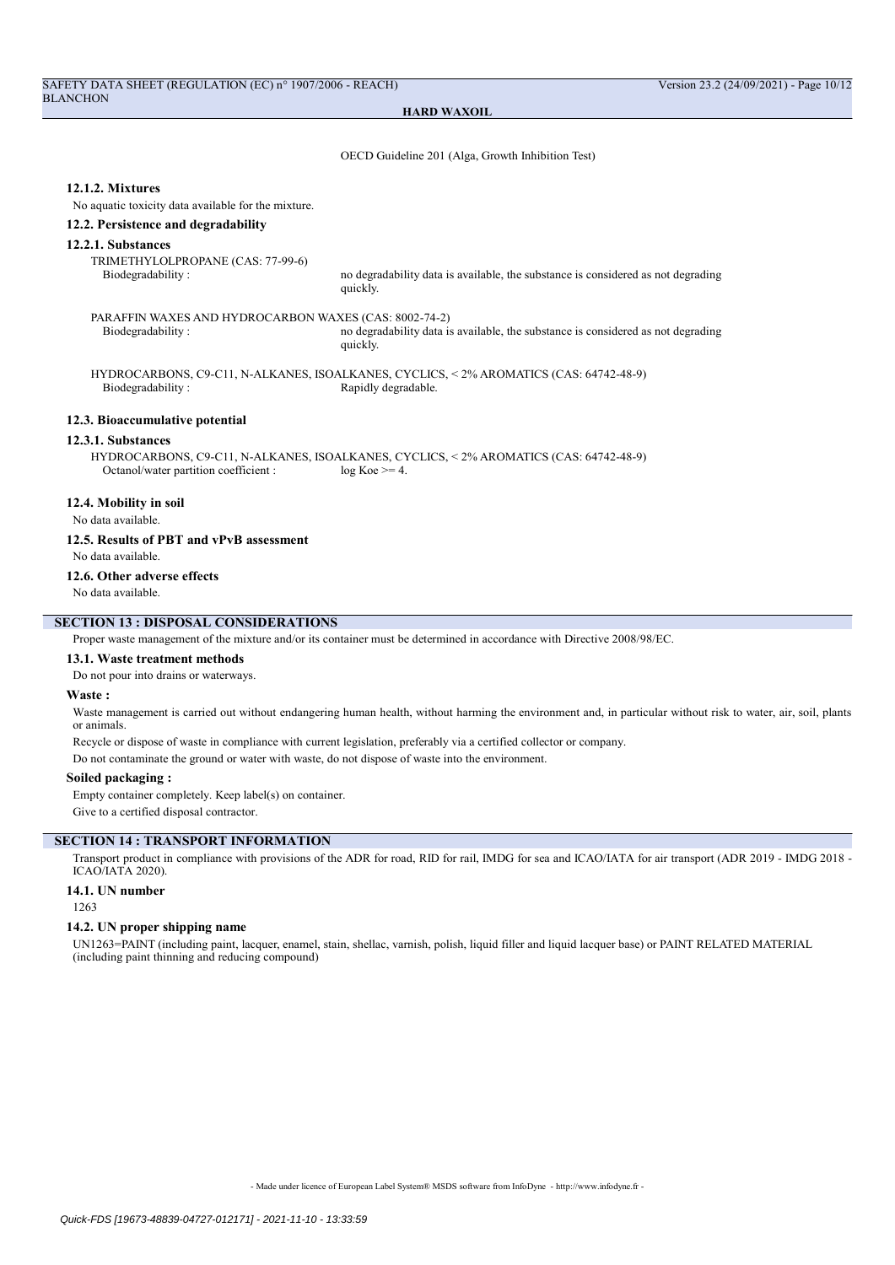OECD Guideline 201 (Alga, Growth Inhibition Test)

#### 12.1.2. Mixtures

No aquatic toxicity data available for the mixture.

#### 12.2. Persistence and degradability

#### 12.2.1. Substances

TRIMETHYLOLPROPANE (CAS: 77-99-6)

Biodegradability : no degradability data is available, the substance is considered as not degrading quickly.

PARAFFIN WAXES AND HYDROCARBON WAXES (CAS: 8002-74-2) Biodegradability : no degradability data is available, the substance is considered as not degrading quickly.

HYDROCARBONS, C9-C11, N-ALKANES, ISOALKANES, CYCLICS, < 2% AROMATICS (CAS: 64742-48-9) Rapidly degradable.

## 12.3. Bioaccumulative potential

#### 12.3.1. Substances

HYDROCARBONS, C9-C11, N-ALKANES, ISOALKANES, CYCLICS, < 2% AROMATICS (CAS: 64742-48-9) Octanol/water partition coefficient :  $log Koe = 4$ .

## 12.4. Mobility in soil

No data available.

## 12.5. Results of PBT and vPvB assessment

No data available.

#### 12.6. Other adverse effects

No data available.

## SECTION 13 : DISPOSAL CONSIDERATIONS

Proper waste management of the mixture and/or its container must be determined in accordance with Directive 2008/98/EC.

## 13.1. Waste treatment methods

Do not pour into drains or waterways.

#### Waste :

Waste management is carried out without endangering human health, without harming the environment and, in particular without risk to water, air, soil, plants or animals.

Recycle or dispose of waste in compliance with current legislation, preferably via a certified collector or company.

Do not contaminate the ground or water with waste, do not dispose of waste into the environment.

#### Soiled packaging :

Empty container completely. Keep label(s) on container. Give to a certified disposal contractor.

#### SECTION 14 : TRANSPORT INFORMATION

Transport product in compliance with provisions of the ADR for road, RID for rail, IMDG for sea and ICAO/IATA for air transport (ADR 2019 - IMDG 2018 - ICAO/IATA 2020).

## 14.1. UN number

1263

#### 14.2. UN proper shipping name

UN1263=PAINT (including paint, lacquer, enamel, stain, shellac, varnish, polish, liquid filler and liquid lacquer base) or PAINT RELATED MATERIAL (including paint thinning and reducing compound)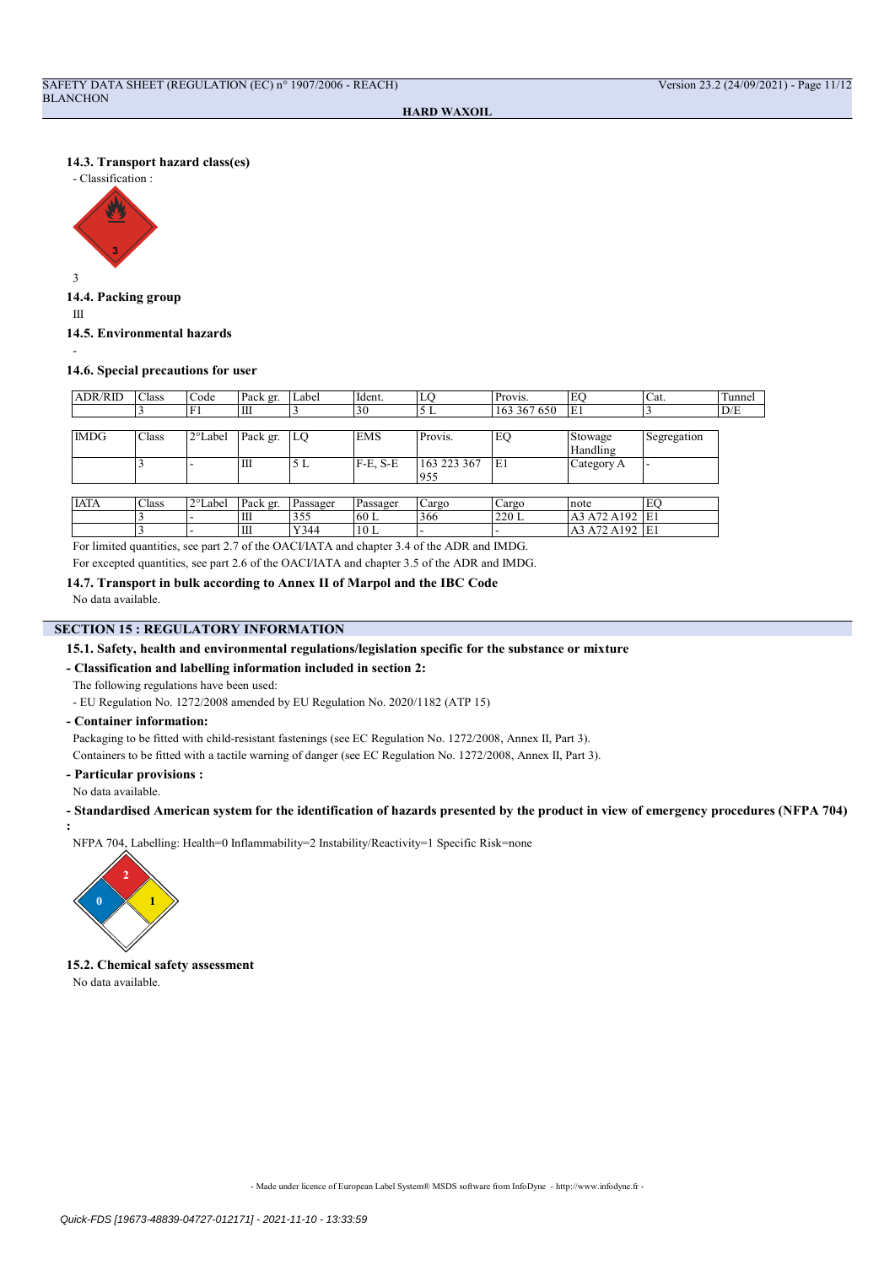## 14.3. Transport hazard class(es)



14.4. Packing group

III

-

14.5. Environmental hazards

14.6. Special precautions for user

| <b>ADR/RID</b> | Class | Code    | Pack gr. | Label    | Ident.     | LO                       | Provis.     | EO             | Cat.        | Tunnel |
|----------------|-------|---------|----------|----------|------------|--------------------------|-------------|----------------|-------------|--------|
|                |       | F1      | Ш        |          | 30         | 5 L                      | 163 367 650 | E1             |             | D/E    |
|                |       |         |          |          |            |                          |             |                |             |        |
| <b>IMDG</b>    | Class | 2°Label | Pack gr. | LO       | <b>EMS</b> | Provis.                  | EQ          | Stowage        | Segregation |        |
|                |       |         |          |          |            |                          |             | Handling       |             |        |
|                |       |         | Ш        | 5 L      | $F-E. S-E$ | 163 223 367              | E1          | Category A     |             |        |
|                |       |         |          |          |            | 955                      |             |                |             |        |
|                |       |         |          |          |            |                          |             |                |             |        |
| <b>IATA</b>    | Class | 2°Label | Pack gr. | Passager | Passager   | Cargo                    | Cargo       | note           | EO          |        |
|                |       |         | Ш        | 355      | 60 L       | 366                      | 220L        | A3 A72 A192    | E1          |        |
|                |       |         | Ш        | Y344     | 10L        | $\overline{\phantom{a}}$ |             | A3 A72 A192 E1 |             |        |

For limited quantities, see part 2.7 of the OACI/IATA and chapter 3.4 of the ADR and IMDG.

For excepted quantities, see part 2.6 of the OACI/IATA and chapter 3.5 of the ADR and IMDG.

14.7. Transport in bulk according to Annex II of Marpol and the IBC Code

No data available.

## **SECTION 15 : REGULATORY INFORMATION**

## 15.1. Safety, health and environmental regulations/legislation specific for the substance or mixture

## - Classification and labelling information included in section 2:

The following regulations have been used:

- EU Regulation No. 1272/2008 amended by EU Regulation No. 2020/1182 (ATP 15)

- Container information:

Packaging to be fitted with child-resistant fastenings (see EC Regulation No. 1272/2008, Annex II, Part 3).

Containers to be fitted with a tactile warning of danger (see EC Regulation No. 1272/2008, Annex II, Part 3).

- Particular provisions :

No data available.

- Standardised American system for the identification of hazards presented by the product in view of emergency procedures (NFPA 704) :

NFPA 704, Labelling: Health=0 Inflammability=2 Instability/Reactivity=1 Specific Risk=none



15.2. Chemical safety assessment

No data available.